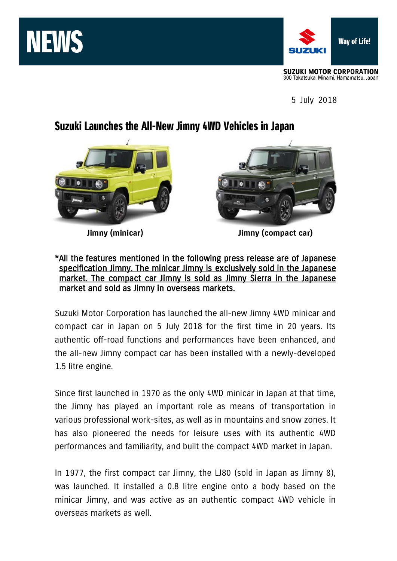



5 July 2018

## Suzuki Launches the All-New Jimny 4WD Vehicles in Japan





**Jimny (minicar) Jimny (compact car)**

## \*All the features mentioned in the following press release are of Japanese specification Jimny. The minicar Jimny is exclusively sold in the Japanese market. The compact car Jimny is sold as Jimny Sierra in the Japanese market and sold as Jimny in overseas markets.

Suzuki Motor Corporation has launched the all-new Jimny 4WD minicar and compact car in Japan on 5 July 2018 for the first time in 20 years. Its authentic off-road functions and performances have been enhanced, and the all-new Jimny compact car has been installed with a newly-developed 1.5 litre engine.

Since first launched in 1970 as the only 4WD minicar in Japan at that time, the Jimny has played an important role as means of transportation in various professional work-sites, as well as in mountains and snow zones. It has also pioneered the needs for leisure uses with its authentic 4WD performances and familiarity, and built the compact 4WD market in Japan.

In 1977, the first compact car Jimny, the LJ80 (sold in Japan as Jimny 8), was launched. It installed a 0.8 litre engine onto a body based on the minicar Jimny, and was active as an authentic compact 4WD vehicle in overseas markets as well.